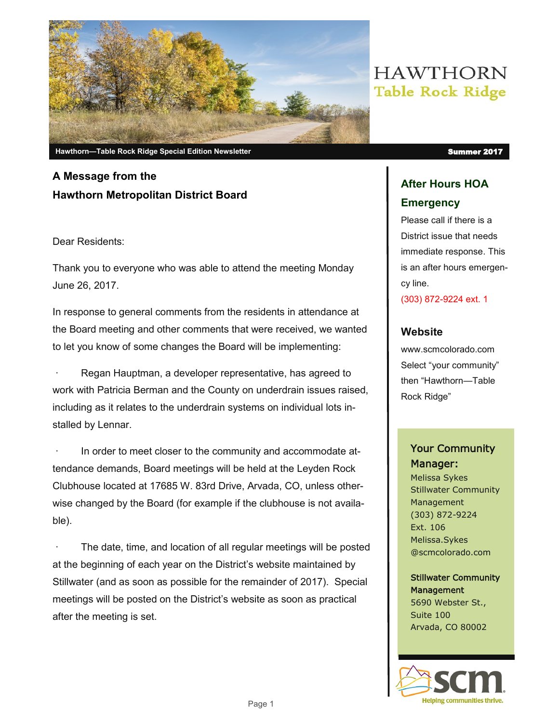

## **A Message from the Hawthorn Metropolitan District Board**

#### Dear Residents:

Thank you to everyone who was able to attend the meeting Monday June 26, 2017.

In response to general comments from the residents in attendance at the Board meeting and other comments that were received, we wanted to let you know of some changes the Board will be implementing:

Regan Hauptman, a developer representative, has agreed to work with Patricia Berman and the County on underdrain issues raised, including as it relates to the underdrain systems on individual lots installed by Lennar.

In order to meet closer to the community and accommodate attendance demands, Board meetings will be held at the Leyden Rock Clubhouse located at 17685 W. 83rd Drive, Arvada, CO, unless otherwise changed by the Board (for example if the clubhouse is not available).

The date, time, and location of all regular meetings will be posted at the beginning of each year on the District's website maintained by Stillwater (and as soon as possible for the remainder of 2017). Special meetings will be posted on the District's website as soon as practical after the meeting is set.

# **HAWTHORN Table Rock Ridge**

### **After Hours HOA Emergency**

Please call if there is a District issue that needs immediate response. This is an after hours emergency line.

(303) 872-9224 ext. 1

#### **Website**

www.scmcolorado.com Select "your community" then "Hawthorn—Table Rock Ridge"

### Your Community Manager:

Melissa Sykes Stillwater Community Management (303) 872-9224 Ext. 106 Melissa.Sykes @scmcolorado.com

Stillwater Community **Management** 5690 Webster St., Suite 100 Arvada, CO 80002